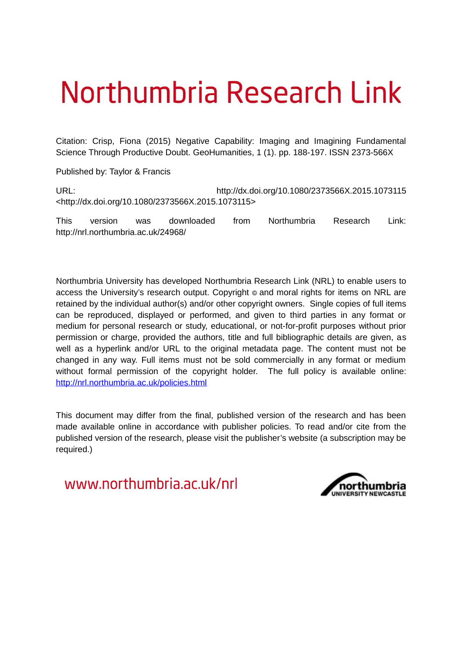## Northumbria Research Link

Citation: Crisp, Fiona (2015) Negative Capability: Imaging and Imagining Fundamental Science Through Productive Doubt. GeoHumanities, 1 (1). pp. 188-197. ISSN 2373-566X

Published by: Taylor & Francis

URL: http://dx.doi.org/10.1080/2373566X.2015.1073115 <http://dx.doi.org/10.1080/2373566X.2015.1073115>

This version was downloaded from Northumbria Research Link: http://nrl.northumbria.ac.uk/24968/

Northumbria University has developed Northumbria Research Link (NRL) to enable users to access the University's research output. Copyright  $\circ$  and moral rights for items on NRL are retained by the individual author(s) and/or other copyright owners. Single copies of full items can be reproduced, displayed or performed, and given to third parties in any format or medium for personal research or study, educational, or not-for-profit purposes without prior permission or charge, provided the authors, title and full bibliographic details are given, as well as a hyperlink and/or URL to the original metadata page. The content must not be changed in any way. Full items must not be sold commercially in any format or medium without formal permission of the copyright holder. The full policy is available online: <http://nrl.northumbria.ac.uk/policies.html>

This document may differ from the final, published version of the research and has been made available online in accordance with publisher policies. To read and/or cite from the published version of the research, please visit the publisher's website (a subscription may be required.)

www.northumbria.ac.uk/nrl

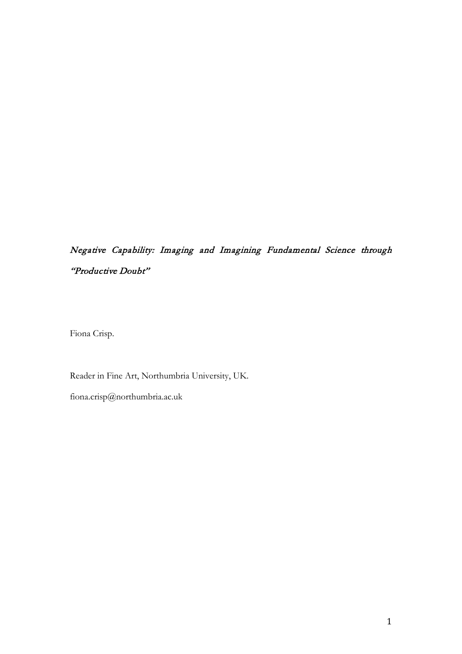## Negative Capability: Imaging and Imagining Fundamental Science through "Productive Doubt"

Fiona Crisp.

Reader in Fine Art, Northumbria University, UK.

fiona.crisp@northumbria.ac.uk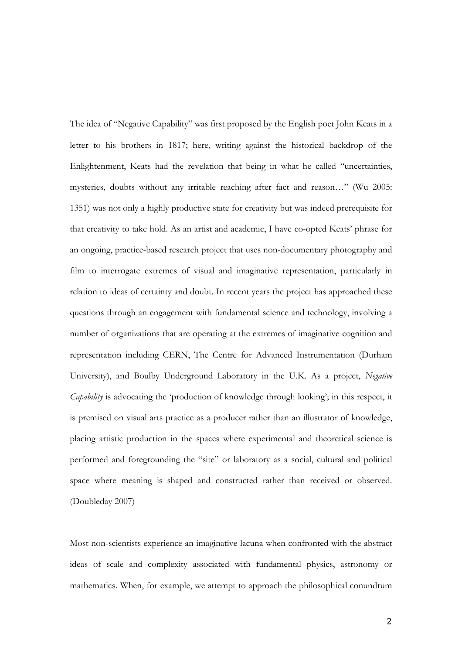The idea of "Negative Capability" was first proposed by the English poet John Keats in a letter to his brothers in 1817; here, writing against the historical backdrop of the Enlightenment, Keats had the revelation that being in what he called "uncertainties, mysteries, doubts without any irritable reaching after fact and reason…" (Wu 2005: 1351) was not only a highly productive state for creativity but was indeed prerequisite for that creativity to take hold. As an artist and academic, I have co-opted Keats' phrase for an ongoing, practice-based research project that uses non-documentary photography and film to interrogate extremes of visual and imaginative representation, particularly in relation to ideas of certainty and doubt. In recent years the project has approached these questions through an engagement with fundamental science and technology, involving a number of organizations that are operating at the extremes of imaginative cognition and representation including CERN, The Centre for Advanced Instrumentation (Durham University), and Boulby Underground Laboratory in the U.K. As a project, *Negative Capability* is advocating the 'production of knowledge through looking'; in this respect, it is premised on visual arts practice as a producer rather than an illustrator of knowledge, placing artistic production in the spaces where experimental and theoretical science is performed and foregrounding the "site" or laboratory as a social, cultural and political space where meaning is shaped and constructed rather than received or observed. (Doubleday 2007)

Most non-scientists experience an imaginative lacuna when confronted with the abstract ideas of scale and complexity associated with fundamental physics, astronomy or mathematics. When, for example, we attempt to approach the philosophical conundrum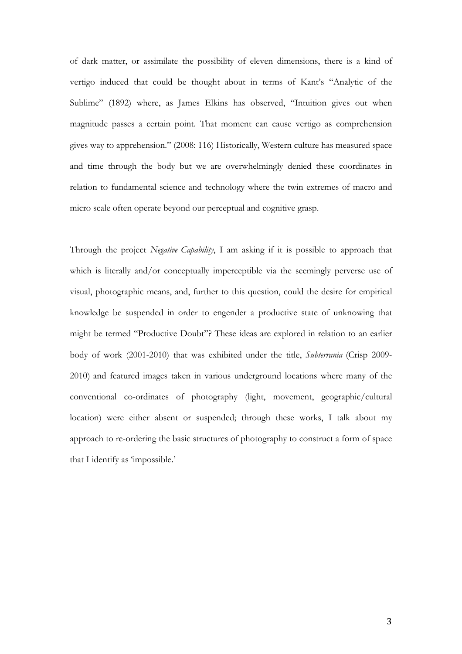of dark matter, or assimilate the possibility of eleven dimensions, there is a kind of vertigo induced that could be thought about in terms of Kant's "Analytic of the Sublime" (1892) where, as James Elkins has observed, "Intuition gives out when magnitude passes a certain point. That moment can cause vertigo as comprehension gives way to apprehension." (2008: 116) Historically, Western culture has measured space and time through the body but we are overwhelmingly denied these coordinates in relation to fundamental science and technology where the twin extremes of macro and micro scale often operate beyond our perceptual and cognitive grasp.

Through the project *Negative Capability*, I am asking if it is possible to approach that which is literally and/or conceptually imperceptible via the seemingly perverse use of visual, photographic means, and, further to this question, could the desire for empirical knowledge be suspended in order to engender a productive state of unknowing that might be termed "Productive Doubt"? These ideas are explored in relation to an earlier body of work (2001-2010) that was exhibited under the title, *Subterrania* (Crisp 2009- 2010) and featured images taken in various underground locations where many of the conventional co-ordinates of photography (light, movement, geographic/cultural location) were either absent or suspended; through these works, I talk about my approach to re-ordering the basic structures of photography to construct a form of space that I identify as 'impossible.'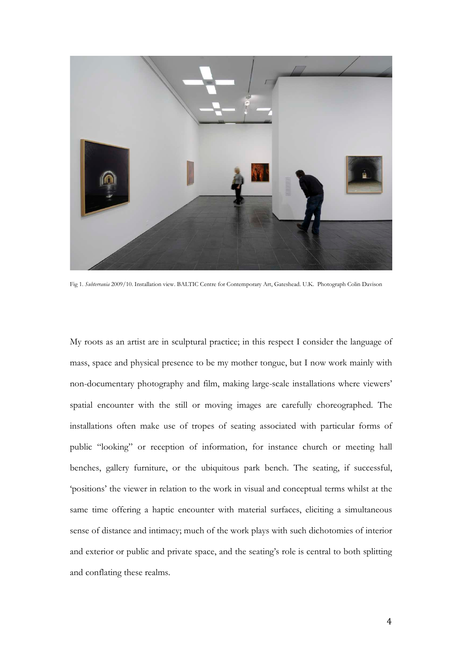

Fig 1. *Subterrania* 2009/10. Installation view. BALTIC Centre for Contemporary Art, Gateshead. U.K. Photograph Colin Davison

My roots as an artist are in sculptural practice; in this respect I consider the language of mass, space and physical presence to be my mother tongue, but I now work mainly with non-documentary photography and film, making large-scale installations where viewers' spatial encounter with the still or moving images are carefully choreographed. The installations often make use of tropes of seating associated with particular forms of public "looking" or reception of information, for instance church or meeting hall benches, gallery furniture, or the ubiquitous park bench. The seating, if successful, 'positions' the viewer in relation to the work in visual and conceptual terms whilst at the same time offering a haptic encounter with material surfaces, eliciting a simultaneous sense of distance and intimacy; much of the work plays with such dichotomies of interior and exterior or public and private space, and the seating's role is central to both splitting and conflating these realms.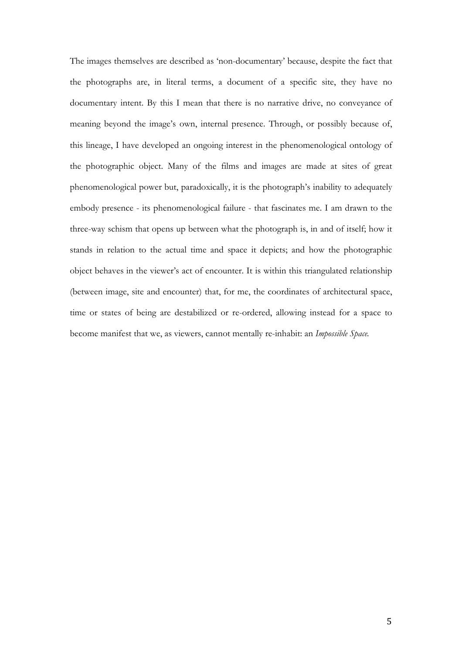<span id="page-5-0"></span>The images themselves are described as 'non-documentary' because, despite the fact that the photographs are, in literal terms, a document of a specific site, they have no documentary intent. By this I mean that there is no narrative drive, no conveyance of meaning beyond the image's own, internal presence. Through, or possibly because of, this lineage, I have developed an ongoing interest in the phenomenological ontology of the photographic object. Many of the films and images are made at sites of great phenomenological power but, paradoxically, it is the photograph's inability to adequately embody presence - its phenomenological failure - that fascinates me. I am drawn to the three-way schism that opens up between what the photograph is, in and of itself; how it stands in relation to the actual time and space it depicts; and how the photographic object behaves in the viewer's act of encounter. It is within this triangulated relationship (between image, site and encounter) that, for me, the coordinates of architectural space, time or states of being are destabilized or re-ordered, allowing instead for a space to become manifest that we, as viewers, cannot mentally re-inhabit: an *Impossible Space.*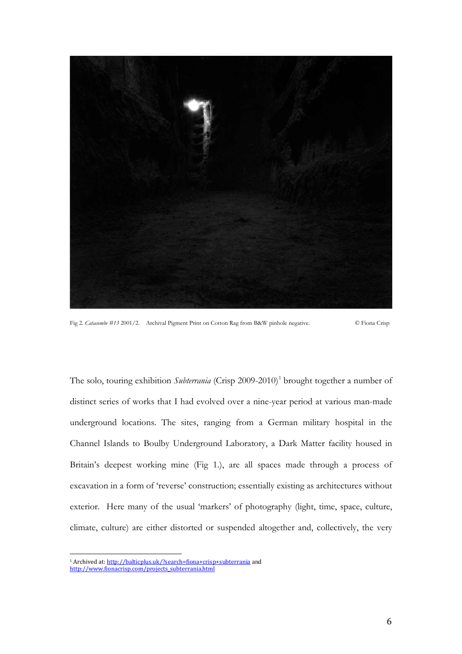

Fig 2. *Catacombe #13* 2001/2. Archival Pigment Print on Cotton Rag from B&W pinhole negative. © Fiona Crisp

The solo, touring exhibition *Subterrania* (Crisp 2009-20[1](#page-5-0)0)<sup>1</sup> brought together a number of distinct series of works that I had evolved over a nine-year period at various man-made underground locations. The sites, ranging from a German military hospital in the Channel Islands to Boulby Underground Laboratory, a Dark Matter facility housed in Britain's deepest working mine (Fig 1.), are all spaces made through a process of excavation in a form of 'reverse' construction; essentially existing as architectures without exterior. Here many of the usual 'markers' of photography (light, time, space, culture, climate, culture) are either distorted or suspended altogether and, collectively, the very

 $\overline{a}$ 

<sup>&</sup>lt;sup>1</sup> Archived at: <u>http://balticplus.uk/?search=fiona+crisp+subterrania</u> and

[http://www.fionacrisp.com/projects\\_subterrania.html](http://www.fionacrisp.com/projects_subterrania.html)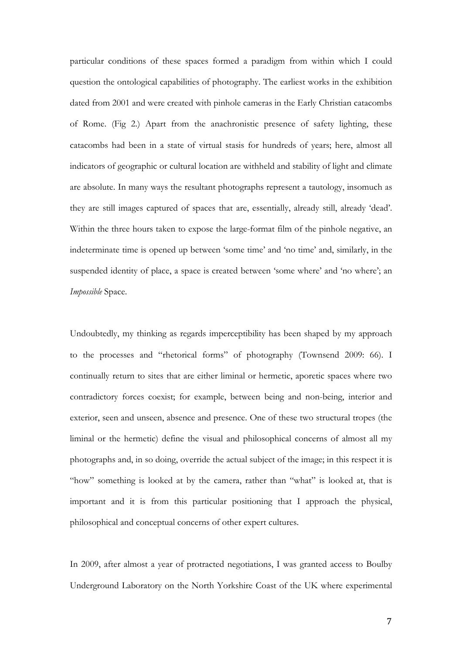particular conditions of these spaces formed a paradigm from within which I could question the ontological capabilities of photography. The earliest works in the exhibition dated from 2001 and were created with pinhole cameras in the Early Christian catacombs of Rome. (Fig 2.) Apart from the anachronistic presence of safety lighting, these catacombs had been in a state of virtual stasis for hundreds of years; here, almost all indicators of geographic or cultural location are withheld and stability of light and climate are absolute. In many ways the resultant photographs represent a tautology, insomuch as they are still images captured of spaces that are, essentially, already still, already 'dead'. Within the three hours taken to expose the large-format film of the pinhole negative, an indeterminate time is opened up between 'some time' and 'no time' and, similarly, in the suspended identity of place, a space is created between 'some where' and 'no where'; an *Impossible* Space.

Undoubtedly, my thinking as regards imperceptibility has been shaped by my approach to the processes and "rhetorical forms" of photography (Townsend 2009: 66). I continually return to sites that are either liminal or hermetic, aporetic spaces where two contradictory forces coexist; for example, between being and non-being, interior and exterior, seen and unseen, absence and presence. One of these two structural tropes (the liminal or the hermetic) define the visual and philosophical concerns of almost all my photographs and, in so doing, override the actual subject of the image; in this respect it is "how" something is looked at by the camera, rather than "what" is looked at, that is important and it is from this particular positioning that I approach the physical, philosophical and conceptual concerns of other expert cultures.

In 2009, after almost a year of protracted negotiations, I was granted access to Boulby Underground Laboratory on the North Yorkshire Coast of the UK where experimental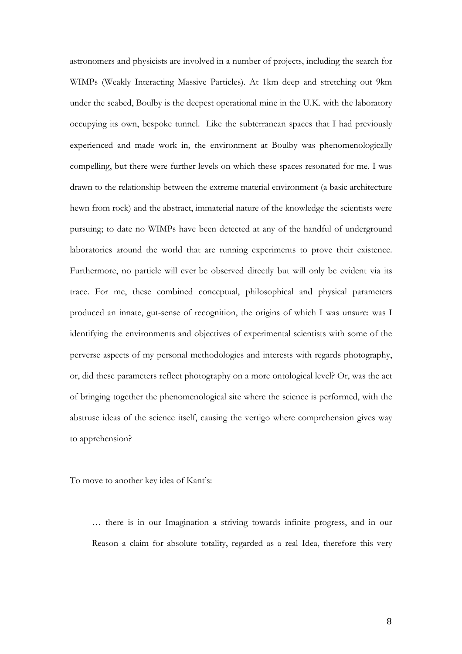astronomers and physicists are involved in a number of projects, including the search for WIMPs (Weakly Interacting Massive Particles). At 1km deep and stretching out 9km under the seabed, Boulby is the deepest operational mine in the U.K. with the laboratory occupying its own, bespoke tunnel. Like the subterranean spaces that I had previously experienced and made work in, the environment at Boulby was phenomenologically compelling, but there were further levels on which these spaces resonated for me. I was drawn to the relationship between the extreme material environment (a basic architecture hewn from rock) and the abstract, immaterial nature of the knowledge the scientists were pursuing; to date no WIMPs have been detected at any of the handful of underground laboratories around the world that are running experiments to prove their existence. Furthermore, no particle will ever be observed directly but will only be evident via its trace. For me, these combined conceptual, philosophical and physical parameters produced an innate, gut-sense of recognition, the origins of which I was unsure: was I identifying the environments and objectives of experimental scientists with some of the perverse aspects of my personal methodologies and interests with regards photography, or, did these parameters reflect photography on a more ontological level? Or, was the act of bringing together the phenomenological site where the science is performed, with the abstruse ideas of the science itself, causing the vertigo where comprehension gives way to apprehension?

To move to another key idea of Kant's:

<span id="page-8-0"></span>*…* there is in our Imagination a striving towards infinite progress, and in our Reason a claim for absolute totality, regarded as a real Idea, therefore this very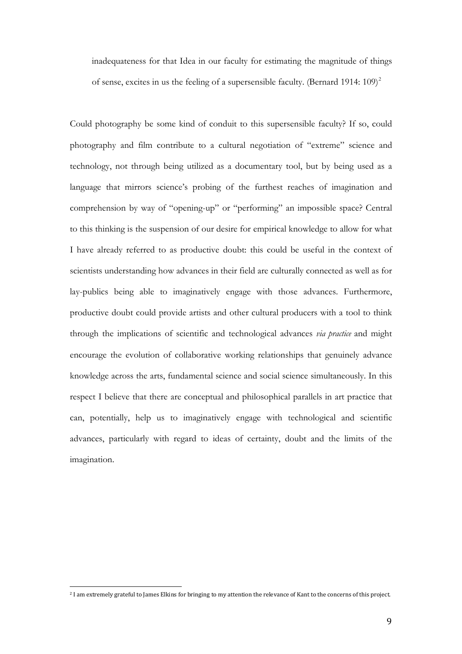inadequateness for that Idea in our faculty for estimating the magnitude of things of sense, excites in us the feeling of a supersensible faculty. (Bernard 1914:  $109$ )<sup>[2](#page-8-0)</sup>

Could photography be some kind of conduit to this supersensible faculty? If so, could photography and film contribute to a cultural negotiation of "extreme" science and technology, not through being utilized as a documentary tool, but by being used as a language that mirrors science's probing of the furthest reaches of imagination and comprehension by way of "opening-up" or "performing" an impossible space? Central to this thinking is the suspension of our desire for empirical knowledge to allow for what I have already referred to as productive doubt: this could be useful in the context of scientists understanding how advances in their field are culturally connected as well as for lay-publics being able to imaginatively engage with those advances. Furthermore, productive doubt could provide artists and other cultural producers with a tool to think through the implications of scientific and technological advances *via practice* and might encourage the evolution of collaborative working relationships that genuinely advance knowledge across the arts, fundamental science and social science simultaneously. In this respect I believe that there are conceptual and philosophical parallels in art practice that can, potentially, help us to imaginatively engage with technological and scientific advances, particularly with regard to ideas of certainty, doubt and the limits of the imagination.

 $\overline{a}$ 

<sup>2</sup> I am extremely grateful to James Elkins for bringing to my attention the relevance of Kant to the concerns of this project.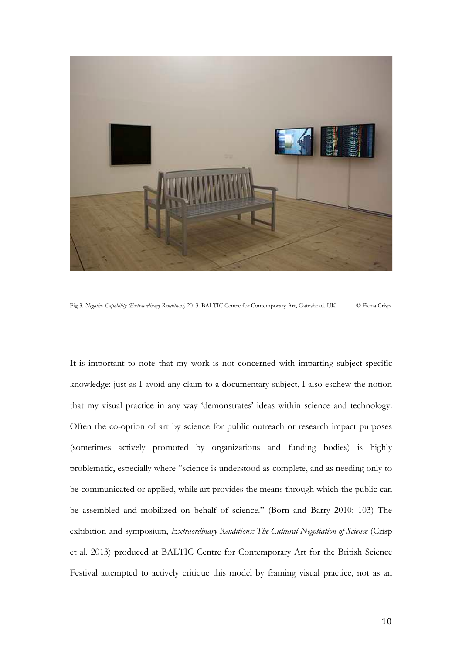

Fig 3. *Negative Capability (Extraordinary Renditions)* 2013. BALTIC Centre for Contemporary Art, Gateshead. UK © Fiona Crisp

<span id="page-10-0"></span>It is important to note that my work is not concerned with imparting subject-specific knowledge: just as I avoid any claim to a documentary subject, I also eschew the notion that my visual practice in any way 'demonstrates' ideas within science and technology. Often the co-option of art by science for public outreach or research impact purposes (sometimes actively promoted by organizations and funding bodies) is highly problematic, especially where "science is understood as complete, and as needing only to be communicated or applied, while art provides the means through which the public can be assembled and mobilized on behalf of science." (Born and Barry 2010: 103) The exhibition and symposium, *Extraordinary Renditions: The Cultural Negotiation of Science* (Crisp et al. 2013) produced at BALTIC Centre for Contemporary Art for the British Science Festival attempted to actively critique this model by framing visual practice, not as an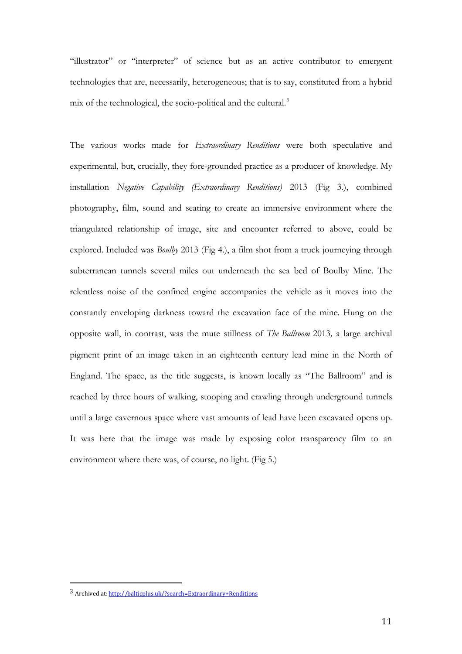"illustrator" or "interpreter" of science but as an active contributor to emergent technologies that are, necessarily, heterogeneous; that is to say, constituted from a hybrid mix of the technological, the socio-political and the cultural. $3$ 

The various works made for *Extraordinary Renditions* were both speculative and experimental, but, crucially, they fore-grounded practice as a producer of knowledge. My installation *Negative Capability (Extraordinary Renditions)* 2013 (Fig 3.), combined photography, film, sound and seating to create an immersive environment where the triangulated relationship of image, site and encounter referred to above, could be explored. Included was *Boulby* 2013 (Fig 4.), a film shot from a truck journeying through subterranean tunnels several miles out underneath the sea bed of Boulby Mine. The relentless noise of the confined engine accompanies the vehicle as it moves into the constantly enveloping darkness toward the excavation face of the mine. Hung on the opposite wall, in contrast, was the mute stillness of *The Ballroom* 2013*,* a large archival pigment print of an image taken in an eighteenth century lead mine in the North of England. The space, as the title suggests, is known locally as "The Ballroom" and is reached by three hours of walking, stooping and crawling through underground tunnels until a large cavernous space where vast amounts of lead have been excavated opens up. It was here that the image was made by exposing color transparency film to an environment where there was, of course, no light. (Fig 5.)

 $\overline{a}$ 

<sup>3</sup> Archived at[: http://balticplus.uk/?search=Extraordinary+Renditions](http://balticplus.uk/?search=Extraordinary+Renditions)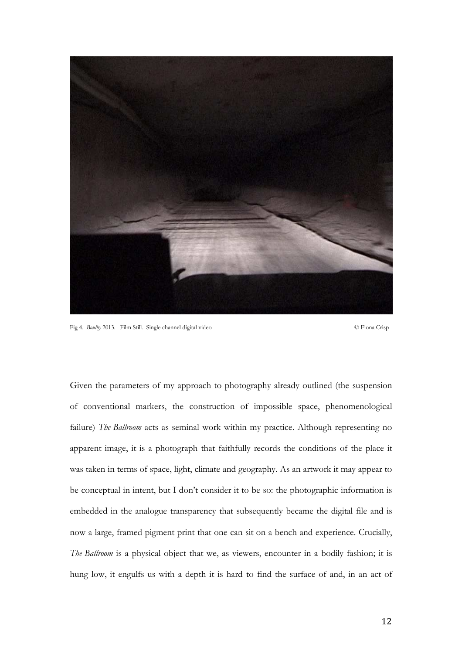

Fig 4. *Boulby* 2013. Film Still. Single channel digital video © Fiona Crisp

Given the parameters of my approach to photography already outlined (the suspension of conventional markers, the construction of impossible space, phenomenological failure) *The Ballroom* acts as seminal work within my practice. Although representing no apparent image, it is a photograph that faithfully records the conditions of the place it was taken in terms of space, light, climate and geography. As an artwork it may appear to be conceptual in intent, but I don't consider it to be so: the photographic information is embedded in the analogue transparency that subsequently became the digital file and is now a large, framed pigment print that one can sit on a bench and experience. Crucially, *The Ballroom* is a physical object that we, as viewers, encounter in a bodily fashion; it is hung low, it engulfs us with a depth it is hard to find the surface of and, in an act of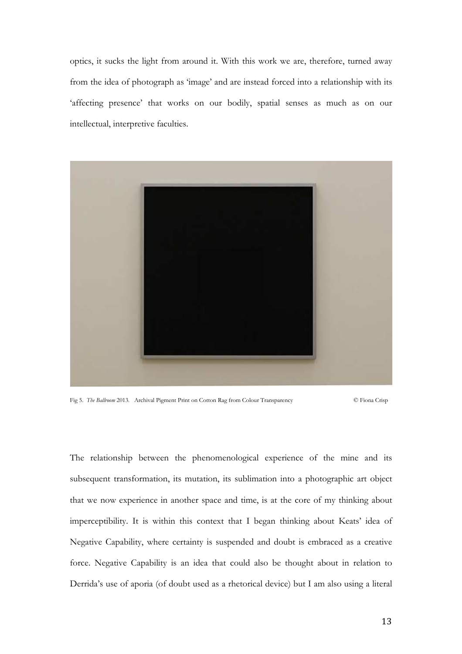optics, it sucks the light from around it. With this work we are, therefore, turned away from the idea of photograph as 'image' and are instead forced into a relationship with its 'affecting presence' that works on our bodily, spatial senses as much as on our intellectual, interpretive faculties.



Fig 5. *The Ballroom* 2013. Archival Pigment Print on Cotton Rag from Colour Transparency © Fiona Crisp

The relationship between the phenomenological experience of the mine and its subsequent transformation, its mutation, its sublimation into a photographic art object that we now experience in another space and time, is at the core of my thinking about imperceptibility. It is within this context that I began thinking about Keats' idea of Negative Capability, where certainty is suspended and doubt is embraced as a creative force. Negative Capability is an idea that could also be thought about in relation to Derrida's use of aporia (of doubt used as a rhetorical device) but I am also using a literal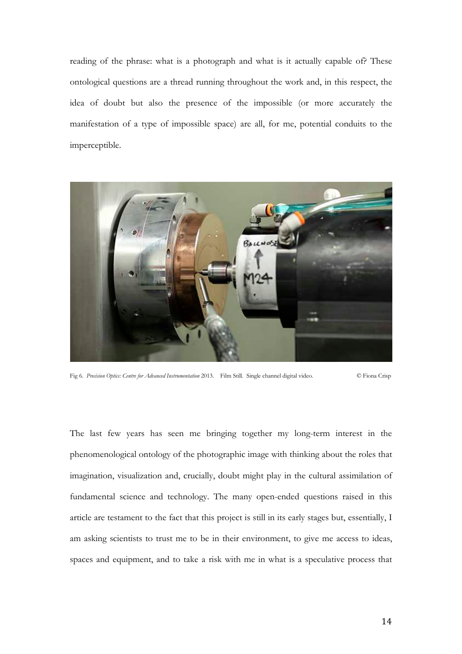reading of the phrase: what is a photograph and what is it actually capable of? These ontological questions are a thread running throughout the work and, in this respect, the idea of doubt but also the presence of the impossible (or more accurately the manifestation of a type of impossible space) are all, for me, potential conduits to the imperceptible.



Fig 6. *Precision Optics: Centre for Advanced Instrumentation* 2013. Film Still. Single channel digital video. © Fiona Crisp

The last few years has seen me bringing together my long-term interest in the phenomenological ontology of the photographic image with thinking about the roles that imagination, visualization and, crucially, doubt might play in the cultural assimilation of fundamental science and technology. The many open-ended questions raised in this article are testament to the fact that this project is still in its early stages but, essentially, I am asking scientists to trust me to be in their environment, to give me access to ideas, spaces and equipment, and to take a risk with me in what is a speculative process that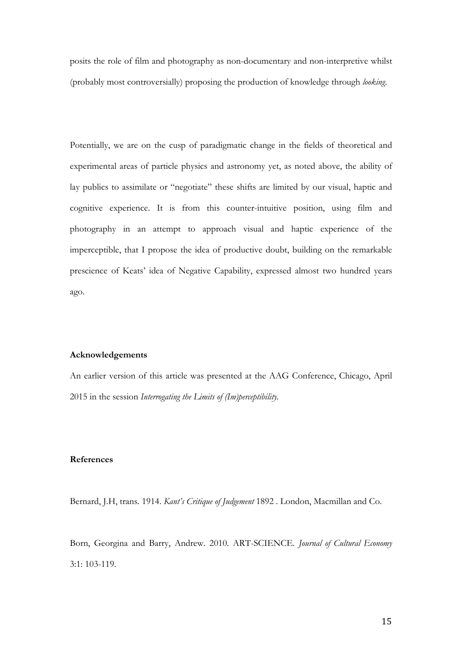posits the role of film and photography as non-documentary and non-interpretive whilst (probably most controversially) proposing the production of knowledge through *looking*.

Potentially, we are on the cusp of paradigmatic change in the fields of theoretical and experimental areas of particle physics and astronomy yet, as noted above, the ability of lay publics to assimilate or "negotiate" these shifts are limited by our visual, haptic and cognitive experience. It is from this counter-intuitive position, using film and photography in an attempt to approach visual and haptic experience of the imperceptible, that I propose the idea of productive doubt, building on the remarkable prescience of Keats' idea of Negative Capability, expressed almost two hundred years ago.

## **Acknowledgements**

An earlier version of this article was presented at the AAG Conference, Chicago, April 2015 in the session *Interrogating the Limits of (Im)perceptibility.*

## **References**

Bernard, J.H, trans. 1914. *Kant's Critique of Judgement* 1892 . London, Macmillan and Co.

Born, Georgina and Barry, Andrew. 2010. ART-SCIENCE. *Journal of Cultural Economy* 3:1: 103-119.